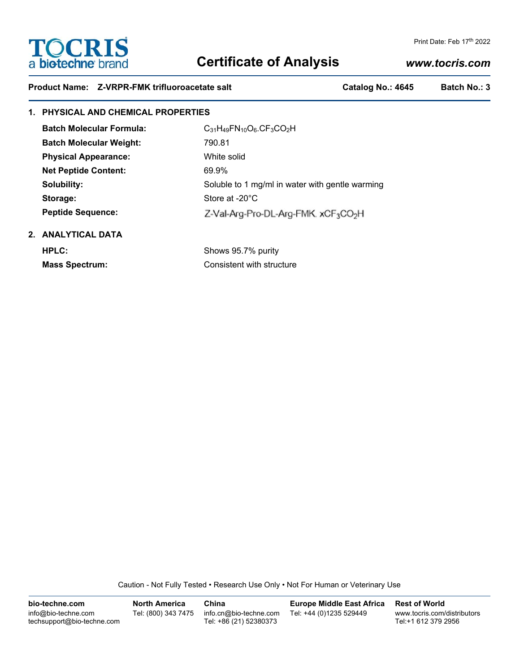# **TOCRIS** a biotechne brand

# **Certificate of Analysis**

# *www.tocris.com*

Print Date: Feb 17th 2022

|  |  | Product Name: Z-VRPR-FMK trifluoroacetate salt |
|--|--|------------------------------------------------|
|--|--|------------------------------------------------|

Catalog No.: 4645 Batch No.: 3

# **1. PHYSICAL AND CHEMICAL PROPERTIES**

| <b>Batch Molecular Formula:</b> | $C_{31}H_{49}FN_{10}O_6$ , $CF_3CO_2H$                       |  |  |
|---------------------------------|--------------------------------------------------------------|--|--|
| <b>Batch Molecular Weight:</b>  | 790.81                                                       |  |  |
| <b>Physical Appearance:</b>     | White solid                                                  |  |  |
| <b>Net Peptide Content:</b>     | 69.9%                                                        |  |  |
| Solubility:                     | Soluble to 1 mg/ml in water with gentle warming              |  |  |
| Storage:                        | Store at $-20^{\circ}$ C                                     |  |  |
| <b>Peptide Sequence:</b>        | Z-Val-Arg-Pro-DL-Arg-FMK. xCF <sub>3</sub> CO <sub>2</sub> H |  |  |
| .                               |                                                              |  |  |

## **2. ANALYTICAL DATA**

**HPLC:** Shows 95.7% purity **Mass Spectrum:** Consistent with structure

Caution - Not Fully Tested • Research Use Only • Not For Human or Veterinary Use

**bio-techne.com** info@bio-techne.com techsupport@bio-techne.com **North America** Tel: (800) 343 7475 **China** info.cn@bio-techne.com Tel: +86 (21) 52380373 **Europe Middle East Africa** Tel: +44 (0)1235 529449 **Rest of World** www.tocris.com/distributors Tel:+1 612 379 2956